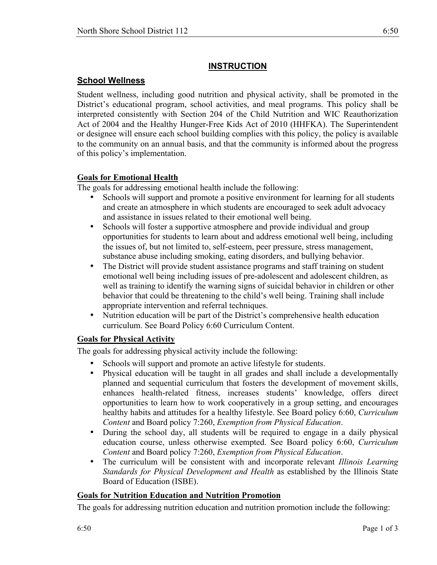# **INSTRUCTION**

## **School Wellness**

Student wellness, including good nutrition and physical activity, shall be promoted in the District's educational program, school activities, and meal programs. This policy shall be interpreted consistently with Section 204 of the Child Nutrition and WIC Reauthorization Act of 2004 and the Healthy Hunger-Free Kids Act of 2010 (HHFKA). The Superintendent or designee will ensure each school building complies with this policy, the policy is available to the community on an annual basis, and that the community is informed about the progress of this policy's implementation.

#### **Goals for Emotional Health**

The goals for addressing emotional health include the following:

- Schools will support and promote a positive environment for learning for all students and create an atmosphere in which students are encouraged to seek adult advocacy and assistance in issues related to their emotional well being.
- Schools will foster a supportive atmosphere and provide individual and group opportunities for students to learn about and address emotional well being, including the issues of, but not limited to, self-esteem, peer pressure, stress management, substance abuse including smoking, eating disorders, and bullying behavior.
- The District will provide student assistance programs and staff training on student emotional well being including issues of pre-adolescent and adolescent children, as well as training to identify the warning signs of suicidal behavior in children or other behavior that could be threatening to the child's well being. Training shall include appropriate intervention and referral techniques.
- Nutrition education will be part of the District's comprehensive health education curriculum. See Board Policy 6:60 Curriculum Content.

## **Goals for Physical Activity**

The goals for addressing physical activity include the following:

- 
- Schools will support and promote an active lifestyle for students.<br>• Physical education will be taught in all grades and shall include • Physical education will be taught in all grades and shall include a developmentally planned and sequential curriculum that fosters the development of movement skills, enhances health-related fitness, increases students' knowledge, offers direct opportunities to learn how to work cooperatively in a group setting, and encourages healthy habits and attitudes for a healthy lifestyle. See Board policy 6:60, *Curriculum Content* and Board policy 7:260, *Exemption from Physical Education*.
- During the school day, all students will be required to engage in a daily physical education course, unless otherwise exempted. See Board policy 6:60, *Curriculum Content* and Board policy 7:260, *Exemption from Physical Education*.
- The curriculum will be consistent with and incorporate relevant *Illinois Learning Standards for Physical Development and Health* as established by the Illinois State Board of Education (ISBE).

## **Goals for Nutrition Education and Nutrition Promotion**

The goals for addressing nutrition education and nutrition promotion include the following: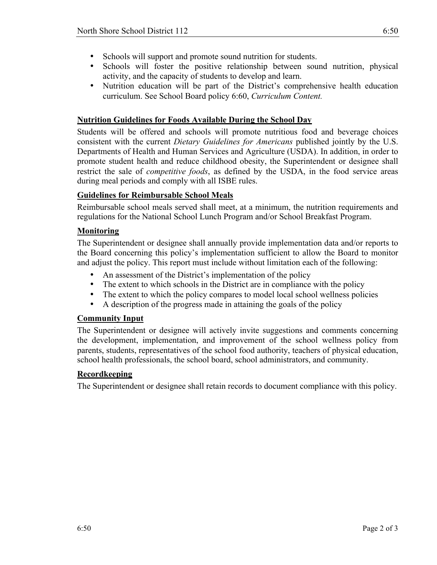- Schools will support and promote sound nutrition for students.
- Schools will foster the positive relationship between sound nutrition, physical activity, and the capacity of students to develop and learn.
- Nutrition education will be part of the District's comprehensive health education curriculum. See School Board policy 6:60, *Curriculum Content.*

## **Nutrition Guidelines for Foods Available During the School Day**

Students will be offered and schools will promote nutritious food and beverage choices consistent with the current *Dietary Guidelines for Americans* published jointly by the U.S. Departments of Health and Human Services and Agriculture (USDA). In addition, in order to promote student health and reduce childhood obesity, the Superintendent or designee shall restrict the sale of *competitive foods*, as defined by the USDA, in the food service areas during meal periods and comply with all ISBE rules.

## **Guidelines for Reimbursable School Meals**

Reimbursable school meals served shall meet, at a minimum, the nutrition requirements and regulations for the National School Lunch Program and/or School Breakfast Program.

## **Monitoring**

The Superintendent or designee shall annually provide implementation data and/or reports to the Board concerning this policy's implementation sufficient to allow the Board to monitor and adjust the policy. This report must include without limitation each of the following:

- An assessment of the District's implementation of the policy
- The extent to which schools in the District are in compliance with the policy
- The extent to which the policy compares to model local school wellness policies
- A description of the progress made in attaining the goals of the policy

#### **Community Input**

The Superintendent or designee will actively invite suggestions and comments concerning the development, implementation, and improvement of the school wellness policy from parents, students, representatives of the school food authority, teachers of physical education, school health professionals, the school board, school administrators, and community.

#### **Recordkeeping**

The Superintendent or designee shall retain records to document compliance with this policy.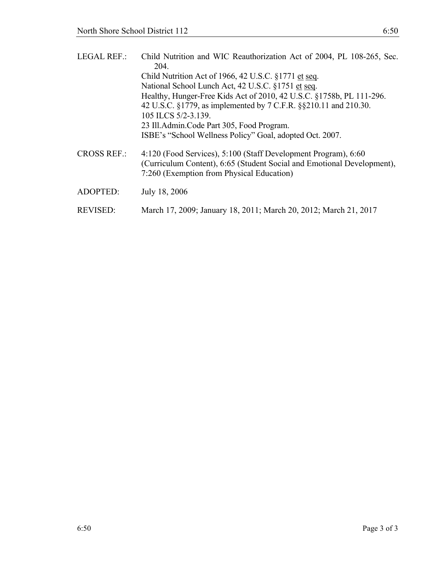| <b>LEGAL REF.:</b> | Child Nutrition and WIC Reauthorization Act of 2004, PL 108-265, Sec.<br>204.                                                                                                         |
|--------------------|---------------------------------------------------------------------------------------------------------------------------------------------------------------------------------------|
|                    | Child Nutrition Act of 1966, 42 U.S.C. $\S 1771$ et seq.                                                                                                                              |
|                    | National School Lunch Act, 42 U.S.C. §1751 et seq.                                                                                                                                    |
|                    | Healthy, Hunger-Free Kids Act of 2010, 42 U.S.C. §1758b, PL 111-296.                                                                                                                  |
|                    | 42 U.S.C. §1779, as implemented by 7 C.F.R. §§210.11 and 210.30.                                                                                                                      |
|                    | 105 ILCS 5/2-3.139.                                                                                                                                                                   |
|                    | 23 Ill.Admin.Code Part 305, Food Program.                                                                                                                                             |
|                    | ISBE's "School Wellness Policy" Goal, adopted Oct. 2007.                                                                                                                              |
| <b>CROSS REF.:</b> | 4:120 (Food Services), 5:100 (Staff Development Program), 6:60<br>(Curriculum Content), 6:65 (Student Social and Emotional Development),<br>7:260 (Exemption from Physical Education) |
| ADOPTED:           | July 18, 2006                                                                                                                                                                         |

REVISED: March 17, 2009; January 18, 2011; March 20, 2012; March 21, 2017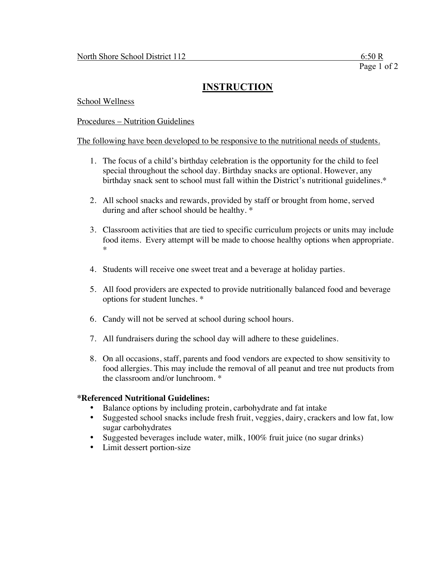## **INSTRUCTION**

School Wellness

Procedures – Nutrition Guidelines

#### The following have been developed to be responsive to the nutritional needs of students.

- 1. The focus of a child's birthday celebration is the opportunity for the child to feel special throughout the school day. Birthday snacks are optional. However, any birthday snack sent to school must fall within the District's nutritional guidelines.\*
- 2. All school snacks and rewards, provided by staff or brought from home, served during and after school should be healthy. \*
- 3. Classroom activities that are tied to specific curriculum projects or units may include food items. Every attempt will be made to choose healthy options when appropriate. \*
- 4. Students will receive one sweet treat and a beverage at holiday parties.
- 5. All food providers are expected to provide nutritionally balanced food and beverage options for student lunches. \*
- 6. Candy will not be served at school during school hours.
- 7. All fundraisers during the school day will adhere to these guidelines.
- 8. On all occasions, staff, parents and food vendors are expected to show sensitivity to food allergies. This may include the removal of all peanut and tree nut products from the classroom and/or lunchroom. \*

#### **\*Referenced Nutritional Guidelines:**

- Balance options by including protein, carbohydrate and fat intake
- Suggested school snacks include fresh fruit, veggies, dairy, crackers and low fat, low sugar carbohydrates
- Suggested beverages include water, milk, 100% fruit juice (no sugar drinks)
- Limit dessert portion-size